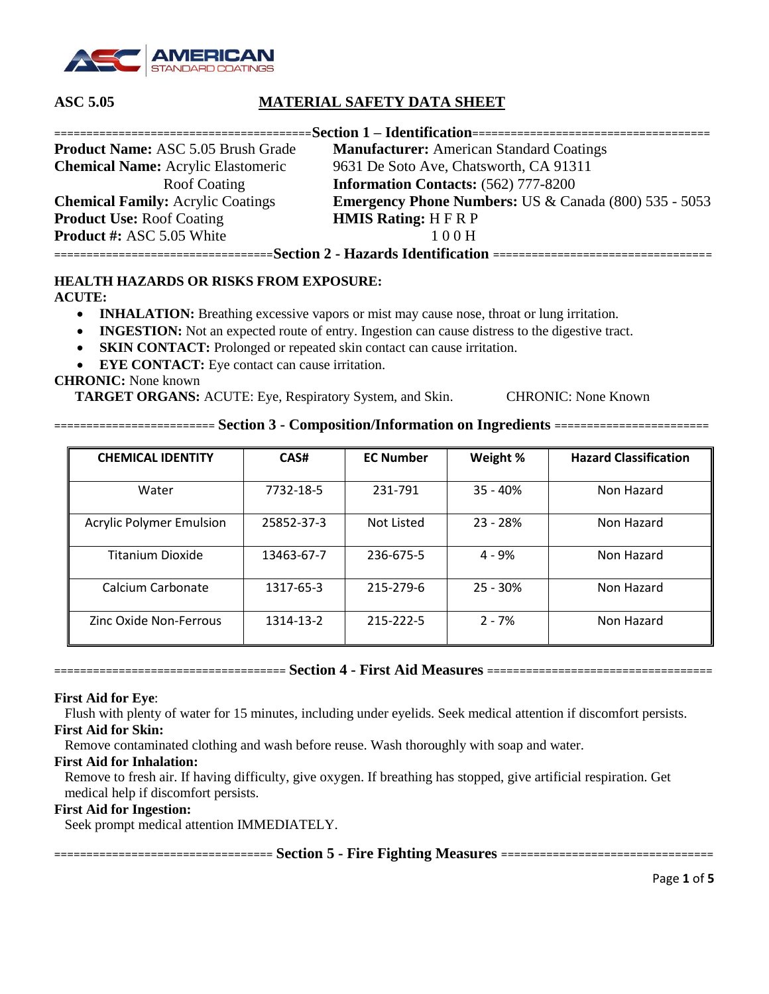

| =Section 1 – Identification===============================<br>------------------------------------- |                                                                  |  |  |  |
|-----------------------------------------------------------------------------------------------------|------------------------------------------------------------------|--|--|--|
| <b>Product Name: ASC 5.05 Brush Grade</b>                                                           | <b>Manufacturer:</b> American Standard Coatings                  |  |  |  |
| <b>Chemical Name:</b> Acrylic Elastomeric                                                           | 9631 De Soto Ave, Chatsworth, CA 91311                           |  |  |  |
| Roof Coating                                                                                        | <b>Information Contacts:</b> (562) 777-8200                      |  |  |  |
| <b>Chemical Family:</b> Acrylic Coatings                                                            | <b>Emergency Phone Numbers: US &amp; Canada (800) 535 - 5053</b> |  |  |  |
| <b>Product Use: Roof Coating</b>                                                                    | <b>HMIS Rating: H F R P</b>                                      |  |  |  |
| <b>Product #: ASC 5.05 White</b>                                                                    | 100H                                                             |  |  |  |
| ====Section 2 - Hazards Identification                                                              |                                                                  |  |  |  |

# **HEALTH HAZARDS OR RISKS FROM EXPOSURE:**

**ACUTE:**

- **INHALATION:** Breathing excessive vapors or mist may cause nose, throat or lung irritation.
- **INGESTION:** Not an expected route of entry. Ingestion can cause distress to the digestive tract.
- **SKIN CONTACT:** Prolonged or repeated skin contact can cause irritation.
- **EYE CONTACT:** Eye contact can cause irritation.

## **CHRONIC:** None known

**TARGET ORGANS:** ACUTE: Eye, Respiratory System, and Skin. CHRONIC: None Known

**CHEMICAL IDENTITY CAS# EC Number Weight % Hazard Classification** Water 7732-18-5 231-791 35 - 40% Non Hazard Acrylic Polymer Emulsion | 25852-37-3 | Not Listed | 23 - 28% | Non Hazard Titanium Dioxide 13463-67-7 | 236-675-5 | 4 - 9% | Non Hazard Calcium Carbonate 1317-65-3 215-279-6 25 - 30% Non Hazard Zinc Oxide Non-Ferrous 1314-13-2 215-222-5 2 - 7% Non Hazard

**========================= Section 3 - Composition/Information on Ingredients ========================**

**==================================== Section 4 - First Aid Measures ===================================**

### **First Aid for Eye**:

 Flush with plenty of water for 15 minutes, including under eyelids. Seek medical attention if discomfort persists. **First Aid for Skin:**

Remove contaminated clothing and wash before reuse. Wash thoroughly with soap and water.

## **First Aid for Inhalation:**

 Remove to fresh air. If having difficulty, give oxygen. If breathing has stopped, give artificial respiration. Get medical help if discomfort persists.

### **First Aid for Ingestion:**

Seek prompt medical attention IMMEDIATELY.

**================================== Section 5 - Fire Fighting Measures =================================**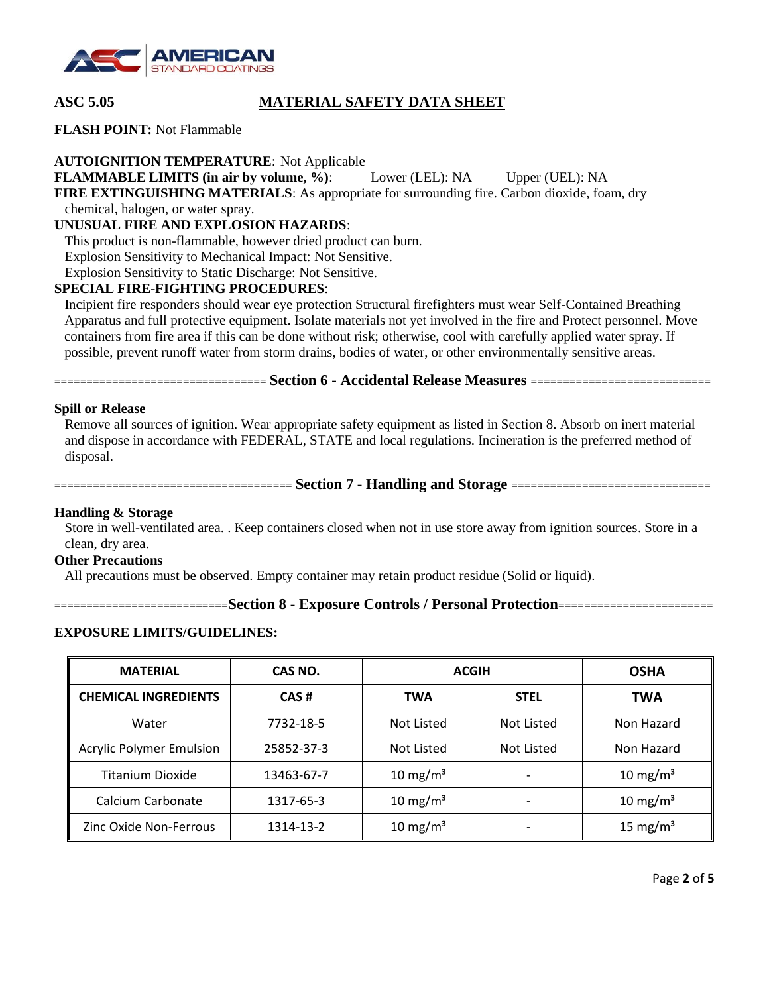

**FLASH POINT:** Not Flammable

#### **AUTOIGNITION TEMPERATURE**: Not Applicable

**FLAMMABLE LIMITS (in air by volume, %)**: Lower (LEL): NA Upper (UEL): NA

**FIRE EXTINGUISHING MATERIALS**: As appropriate for surrounding fire. Carbon dioxide, foam, dry

chemical, halogen, or water spray.

## **UNUSUAL FIRE AND EXPLOSION HAZARDS**:

This product is non-flammable, however dried product can burn.

Explosion Sensitivity to Mechanical Impact: Not Sensitive.

Explosion Sensitivity to Static Discharge: Not Sensitive.

### **SPECIAL FIRE-FIGHTING PROCEDURES**:

 Incipient fire responders should wear eye protection Structural firefighters must wear Self-Contained Breathing Apparatus and full protective equipment. Isolate materials not yet involved in the fire and Protect personnel. Move containers from fire area if this can be done without risk; otherwise, cool with carefully applied water spray. If possible, prevent runoff water from storm drains, bodies of water, or other environmentally sensitive areas.

**================================= Section 6 - Accidental Release Measures ============================**

#### **Spill or Release**

 Remove all sources of ignition. Wear appropriate safety equipment as listed in Section 8. Absorb on inert material and dispose in accordance with FEDERAL, STATE and local regulations. Incineration is the preferred method of disposal.

**===================================== Section 7 - Handling and Storage ===============================**

#### **Handling & Storage**

 Store in well-ventilated area. . Keep containers closed when not in use store away from ignition sources. Store in a clean, dry area.

#### **Other Precautions**

All precautions must be observed. Empty container may retain product residue (Solid or liquid).

```
===========================Section 8 - Exposure Controls / Personal Protection========================
```
### **EXPOSURE LIMITS/GUIDELINES:**

| <b>MATERIAL</b>                 | CAS NO.    | <b>ACGIH</b>         |                          | <b>OSHA</b>          |
|---------------------------------|------------|----------------------|--------------------------|----------------------|
| <b>CHEMICAL INGREDIENTS</b>     | CAS#       | <b>TWA</b>           | <b>STEL</b>              | TWA                  |
| Water                           | 7732-18-5  | Not Listed           | Not Listed               | Non Hazard           |
| <b>Acrylic Polymer Emulsion</b> | 25852-37-3 | Not Listed           | Not Listed               | Non Hazard           |
| <b>Titanium Dioxide</b>         | 13463-67-7 | 10 mg/m <sup>3</sup> | $\overline{\phantom{0}}$ | 10 mg/m <sup>3</sup> |
| Calcium Carbonate               | 1317-65-3  | 10 mg/m <sup>3</sup> | $\overline{\phantom{0}}$ | 10 mg/m <sup>3</sup> |
| Zinc Oxide Non-Ferrous          | 1314-13-2  | 10 mg/m <sup>3</sup> |                          | 15 mg/m <sup>3</sup> |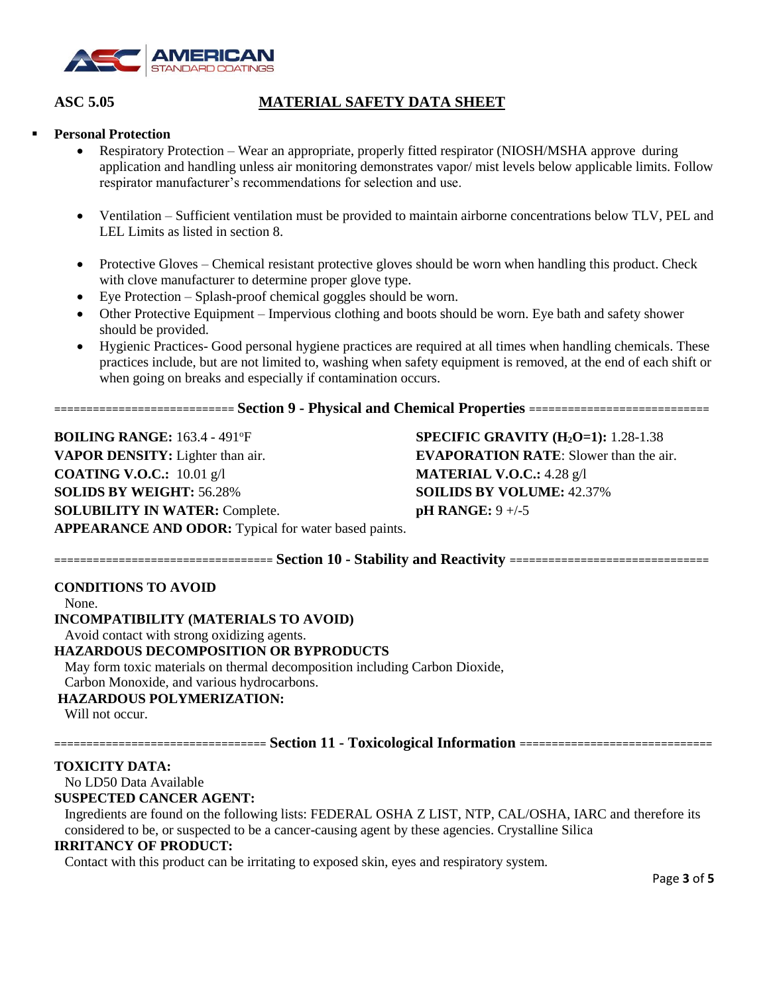

## **Personal Protection**

- Respiratory Protection Wear an appropriate, properly fitted respirator (NIOSH/MSHA approve during application and handling unless air monitoring demonstrates vapor/ mist levels below applicable limits. Follow respirator manufacturer's recommendations for selection and use.
- Ventilation Sufficient ventilation must be provided to maintain airborne concentrations below TLV, PEL and LEL Limits as listed in section 8.
- Protective Gloves Chemical resistant protective gloves should be worn when handling this product. Check with clove manufacturer to determine proper glove type.
- Eye Protection Splash-proof chemical goggles should be worn.
- Other Protective Equipment Impervious clothing and boots should be worn. Eye bath and safety shower should be provided.
- Hygienic Practices- Good personal hygiene practices are required at all times when handling chemicals. These practices include, but are not limited to, washing when safety equipment is removed, at the end of each shift or when going on breaks and especially if contamination occurs.

**============================ Section 9 - Physical and Chemical Properties ============================**

**BOILING RANGE:** 163.4 - 491°F **SPECIFIC GRAVITY (H<sub>2</sub>O=1):** 1.28-1.38 **VAPOR DENSITY:** Lighter than air. **EVAPORATION RATE**: Slower than the air. **COATING V.O.C.:** 10.01 g/l **MATERIAL V.O.C.:** 4.28 g/l **SOLIDS BY WEIGHT:** 56.28% **SOILIDS BY VOLUME:** 42.37% **SOLUBILITY IN WATER:** Complete. **pH RANGE:** 9 +/-5 **APPEARANCE AND ODOR:** Typical for water based paints.

**================================== Section 10 - Stability and Reactivity ===============================**

# **CONDITIONS TO AVOID**

None.

**INCOMPATIBILITY (MATERIALS TO AVOID)**

Avoid contact with strong oxidizing agents.

### **HAZARDOUS DECOMPOSITION OR BYPRODUCTS**

May form toxic materials on thermal decomposition including Carbon Dioxide,

Carbon Monoxide, and various hydrocarbons.

## **HAZARDOUS POLYMERIZATION:**

Will not occur.

**================================= Section 11 - Toxicological Information ==============================**

### **TOXICITY DATA:**

No LD50 Data Available

### **SUSPECTED CANCER AGENT:**

Ingredients are found on the following lists: FEDERAL OSHA Z LIST, NTP, CAL/OSHA, IARC and therefore its considered to be, or suspected to be a cancer-causing agent by these agencies. Crystalline Silica

### **IRRITANCY OF PRODUCT:**

Contact with this product can be irritating to exposed skin, eyes and respiratory system.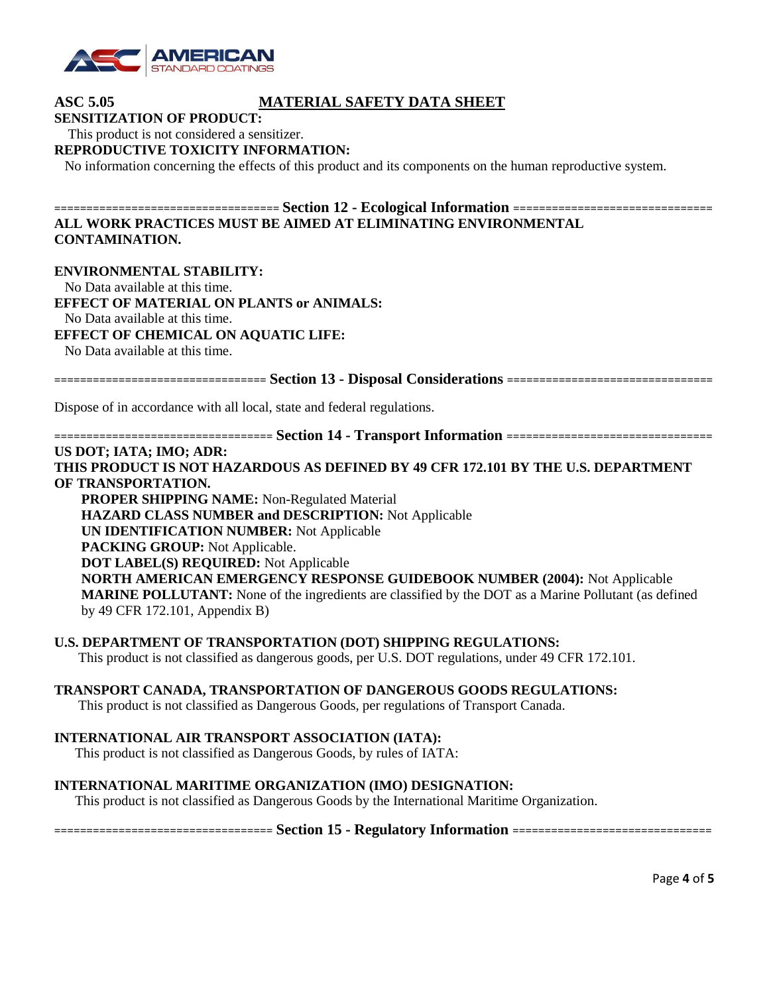

**SENSITIZATION OF PRODUCT:** This product is not considered a sensitizer.

**REPRODUCTIVE TOXICITY INFORMATION:** 

No information concerning the effects of this product and its components on the human reproductive system.

## **=================================== Section 12 - Ecological Information =============================== ALL WORK PRACTICES MUST BE AIMED AT ELIMINATING ENVIRONMENTAL CONTAMINATION.**

### **ENVIRONMENTAL STABILITY:**

No Data available at this time. **EFFECT OF MATERIAL ON PLANTS or ANIMALS:**  No Data available at this time.

**EFFECT OF CHEMICAL ON AQUATIC LIFE:** 

No Data available at this time.

**================================= Section 13 - Disposal Considerations ================================**

Dispose of in accordance with all local, state and federal regulations.

**================================== Section 14 - Transport Information ================================**

**US DOT; IATA; IMO; ADR: THIS PRODUCT IS NOT HAZARDOUS AS DEFINED BY 49 CFR 172.101 BY THE U.S. DEPARTMENT OF TRANSPORTATION. PROPER SHIPPING NAME:** Non-Regulated Material **HAZARD CLASS NUMBER and DESCRIPTION:** Not Applicable **UN IDENTIFICATION NUMBER:** Not Applicable **PACKING GROUP:** Not Applicable. **DOT LABEL(S) REQUIRED:** Not Applicable

**NORTH AMERICAN EMERGENCY RESPONSE GUIDEBOOK NUMBER (2004):** Not Applicable **MARINE POLLUTANT:** None of the ingredients are classified by the DOT as a Marine Pollutant (as defined by 49 CFR 172.101, Appendix B)

**U.S. DEPARTMENT OF TRANSPORTATION (DOT) SHIPPING REGULATIONS:**

This product is not classified as dangerous goods, per U.S. DOT regulations, under 49 CFR 172.101.

**TRANSPORT CANADA, TRANSPORTATION OF DANGEROUS GOODS REGULATIONS:**

This product is not classified as Dangerous Goods, per regulations of Transport Canada.

### **INTERNATIONAL AIR TRANSPORT ASSOCIATION (IATA):**

This product is not classified as Dangerous Goods, by rules of IATA:

# **INTERNATIONAL MARITIME ORGANIZATION (IMO) DESIGNATION:**

This product is not classified as Dangerous Goods by the International Maritime Organization.

**================================== Section 15 - Regulatory Information ===============================**